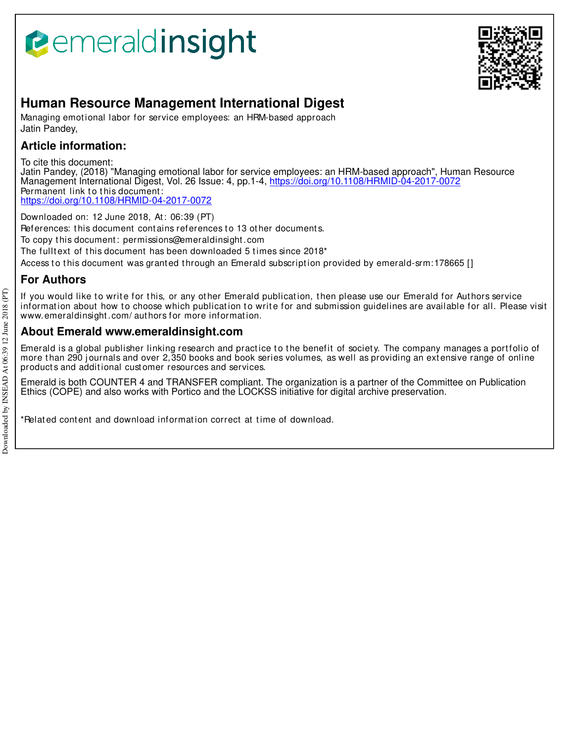# **B**emeraldinsight



## **Human Resource Management International Digest**

Managing emotional labor for service employees: an HRM-based approach Jatin Pandey,

### **Article information:**

To cite this document:

Jatin Pandey, (2018) "Managing emotional labor for service employees: an HRM-based approach", Human Resource Management International Digest, Vol. 26 Issue: 4, pp.1-4, https://doi.org/10.1108/HRMID-04-2017-0072 Permanent link to this document: https://doi.org/10.1108/HRMID-04-2017-0072

Downloaded on: 12 June 2018, At : 06:39 (PT) References: this document contains references to 13 other documents. To copy t his document : permissions@emeraldinsight .com The fulltext of this document has been downloaded 5 times since 2018\*

Access to this document was granted through an Emerald subscription provided by emerald-srm: 178665 []

### **For Authors**

If you would like to write for this, or any other Emerald publication, then please use our Emerald for Authors service information about how to choose which publication to write for and submission guidelines are available for all. Please visit www.emeraldinsight.com/ authors for more information.

#### **About Emerald www.emeraldinsight.com**

Emerald is a global publisher linking research and practice to the benefit of society. The company manages a portfolio of more than 290 journals and over 2,350 books and book series volumes, as well as providing an extensive range of online product s and addit ional cust omer resources and services.

Emerald is both COUNTER 4 and TRANSFER compliant. The organization is a partner of the Committee on Publication Ethics (COPE) and also works with Portico and the LOCKSS initiative for digital archive preservation.

\*Relat ed cont ent and download informat ion correct at t ime of download.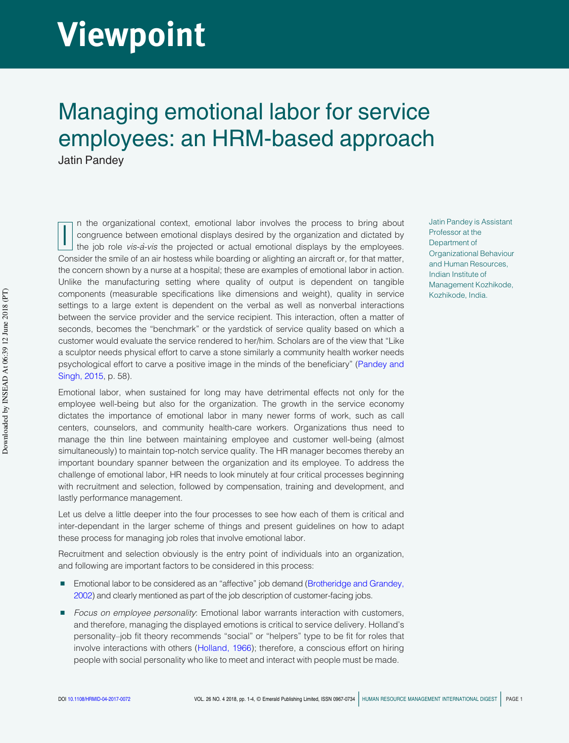# **Viewpoint**

## Managing emotional labor for service employees: an HRM-based approach Jatin Pandey

I n the organizational context, emotional labor involves the process to bring about congruence between emotional displays desired by the organization and dictated by the job role *vis-a`-vis* the projected or actual emotional displays by the employees. Consider the smile of an air hostess while boarding or alighting an aircraft or, for that matter, the concern shown by a nurse at a hospital; these are examples of emotional labor in action. Unlike the manufacturing setting where quality of output is dependent on tangible components (measurable specifications like dimensions and weight), quality in service settings to a large extent is dependent on the verbal as well as nonverbal interactions between the service provider and the service recipient. This interaction, often a matter of seconds, becomes the "benchmark" or the yardstick of service quality based on which a customer would evaluate the service rendered to her/him. Scholars are of the view that "Like a sculptor needs physical effort to carve a stone similarly a community health worker needs psychological effort to carve a positive image in the minds of the beneficiary" ([Pandey and](#page-4-0)  [Singh, 2015](#page-4-0), p. 58).

Emotional labor, when sustained for long may have detrimental effects not only for the employee well-being but also for the organization. The growth in the service economy dictates the importance of emotional labor in many newer forms of work, such as call centers, counselors, and community health-care workers. Organizations thus need to manage the thin line between maintaining employee and customer well-being (almost simultaneously) to maintain top-notch service quality. The HR manager becomes thereby an important boundary spanner between the organization and its employee. To address the challenge of emotional labor, HR needs to look minutely at four critical processes beginning with recruitment and selection, followed by compensation, training and development, and lastly performance management.

Let us delve a little deeper into the four processes to see how each of them is critical and inter-dependant in the larger scheme of things and present guidelines on how to adapt these process for managing job roles that involve emotional labor.

Recruitment and selection obviously is the entry point of individuals into an organization, and following are important factors to be considered in this process:

- Emotional labor to be considered as an "affective" job demand (Brotheridge and Grandey, [2002](#page-3-0)) and clearly mentioned as part of the job description of customer-facing jobs.
- Focus on employee personality: Emotional labor warrants interaction with customers, and therefore, managing the displayed emotions is critical to service delivery. Holland's personality–job fit theory recommends "social" or "helpers" type to be fit for roles that involve interactions with others ([Holland, 1966](#page-4-1)); therefore, a conscious effort on hiring people with social personality who like to meet and interact with people must be made.

Jatin Pandey is Assistant Professor at the Department of Organizational Behaviour and Human Resources, Indian Institute of Management Kozhikode, Kozhikode, India.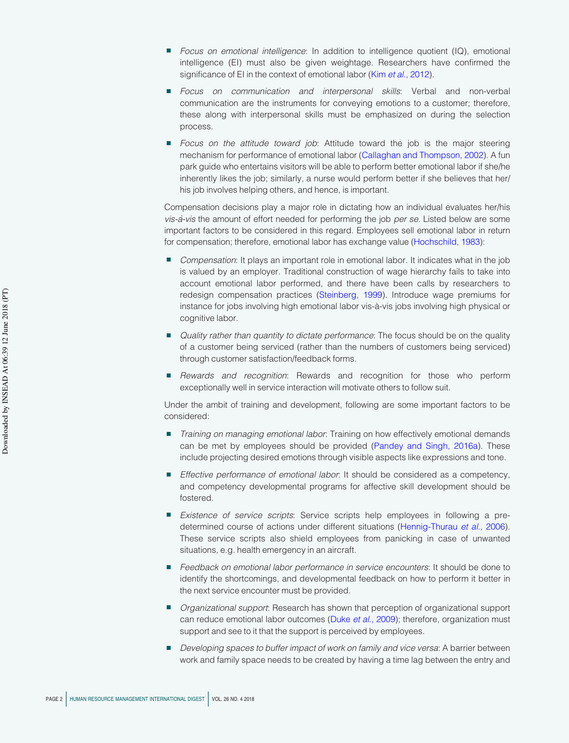- <sup>n</sup>*Focus on emotional intelligence*: In addition to intelligence quotient (IQ), emotional intelligence (EI) must also be given weightage. Researchers have confirmed the significance of EI in the context of emotional labor (Kim *et al.*[, 2012](#page-4-2)).
- <sup>n</sup>*Focus on communication and interpersonal skills*: Verbal and non-verbal communication are the instruments for conveying emotions to a customer; therefore, these along with interpersonal skills must be emphasized on during the selection process.
- **Focus on the attitude toward job:** Attitude toward the job is the major steering mechanism for performance of emotional labor ([Callaghan and Thompson, 2002\)](#page-3-1). A fun park guide who entertains visitors will be able to perform better emotional labor if she/he inherently likes the job; similarly, a nurse would perform better if she believes that her/ his job involves helping others, and hence, is important.

Compensation decisions play a major role in dictating how an individual evaluates her/his *vis-a`-vis* the amount of effort needed for performing the job *per se*. Listed below are some important factors to be considered in this regard. Employees sell emotional labor in return for compensation; therefore, emotional labor has exchange value [\(Hochschild, 1983](#page-4-3)):

- <sup>n</sup>*Compensation*: It plays an important role in emotional labor. It indicates what in the job is valued by an employer. Traditional construction of wage hierarchy fails to take into account emotional labor performed, and there have been calls by researchers to redesign compensation practices [\(Steinberg, 1999\)](#page-4-4). Introduce wage premiums for instance for jobs involving high emotional labor vis-à-vis jobs involving high physical or cognitive labor.
- <sup>n</sup>*Quality rather than quantity to dictate performance*: The focus should be on the quality of a customer being serviced (rather than the numbers of customers being serviced) through customer satisfaction/feedback forms.
- <sup>n</sup>*Rewards and recognition*: Rewards and recognition for those who perform exceptionally well in service interaction will motivate others to follow suit.

Under the ambit of training and development, following are some important factors to be considered:

- <sup>n</sup>*Training on managing emotional labor*: Training on how effectively emotional demands can be met by employees should be provided ([Pandey and Singh, 2016a](#page-4-5)). These include projecting desired emotions through visible aspects like expressions and tone.
- *Effective performance of emotional labor*: It should be considered as a competency, and competency developmental programs for affective skill development should be fostered.
- n *Existence of service scripts*: Service scripts help employees in following a predetermined course of actions under different situations [\(Hennig-Thurau](#page-4-6) *et al*., 2006). These service scripts also shield employees from panicking in case of unwanted situations, e.g. health emergency in an aircraft.
- <sup>n</sup>*Feedback on emotional labor performance in service encounters*: It should be done to identify the shortcomings, and developmental feedback on how to perform it better in the next service encounter must be provided.
- <sup>n</sup>*Organizational support*: Research has shown that perception of organizational support can reduce emotional labor outcomes (Duke *et al*[., 2009\)](#page-3-2); therefore, organization must support and see to it that the support is perceived by employees.
- <sup>n</sup>*Developing spaces to buffer impact of work on family and vice versa*: A barrier between work and family space needs to be created by having a time lag between the entry and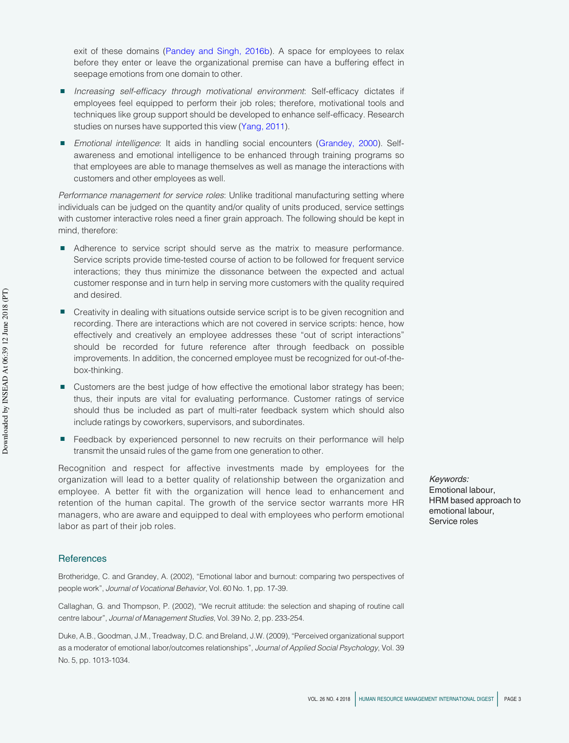exit of these domains ([Pandey and Singh, 2016b](#page-4-7)). A space for employees to relax before they enter or leave the organizational premise can have a buffering effect in seepage emotions from one domain to other.

- <sup>n</sup>*Increasing self-efficacy through motivational environment*: Self-efficacy dictates if employees feel equipped to perform their job roles; therefore, motivational tools and techniques like group support should be developed to enhance self-efficacy. Research studies on nurses have supported this view ([Yang, 2011](#page-4-8)).
- n *Emotional intelligence*: It aids in handling social encounters ([Grandey, 2000](#page-4-9)). Selfawareness and emotional intelligence to be enhanced through training programs so that employees are able to manage themselves as well as manage the interactions with customers and other employees as well.

*Performance management for service roles*: Unlike traditional manufacturing setting where individuals can be judged on the quantity and/or quality of units produced, service settings with customer interactive roles need a finer grain approach. The following should be kept in mind, therefore:

- Adherence to service script should serve as the matrix to measure performance. Service scripts provide time-tested course of action to be followed for frequent service interactions; they thus minimize the dissonance between the expected and actual customer response and in turn help in serving more customers with the quality required and desired.
- Creativity in dealing with situations outside service script is to be given recognition and recording. There are interactions which are not covered in service scripts: hence, how effectively and creatively an employee addresses these "out of script interactions" should be recorded for future reference after through feedback on possible improvements. In addition, the concerned employee must be recognized for out-of-thebox-thinking.
- Customers are the best judge of how effective the emotional labor strategy has been; thus, their inputs are vital for evaluating performance. Customer ratings of service should thus be included as part of multi-rater feedback system which should also include ratings by coworkers, supervisors, and subordinates.
- Feedback by experienced personnel to new recruits on their performance will help transmit the unsaid rules of the game from one generation to other.

Recognition and respect for affective investments made by employees for the organization will lead to a better quality of relationship between the organization and employee. A better fit with the organization will hence lead to enhancement and retention of the human capital. The growth of the service sector warrants more HR managers, who are aware and equipped to deal with employees who perform emotional labor as part of their job roles.

#### **References**

<span id="page-3-0"></span>Brotheridge, C. and Grandey, A. (2002), "Emotional labor and burnout: comparing two perspectives of people work", *Journal of Vocational Behavior*, Vol. 60 No. 1, pp. 17-39.

<span id="page-3-1"></span>Callaghan, G. and Thompson, P. (2002), "We recruit attitude: the selection and shaping of routine call centre labour", *Journal of Management Studies*, Vol. 39 No. 2, pp. 233-254.

<span id="page-3-2"></span>Duke, A.B., Goodman, J.M., Treadway, D.C. and Breland, J.W. (2009), "Perceived organizational support as a moderator of emotional labor/outcomes relationships", *Journal of Applied Social Psychology*, Vol. 39 No. 5, pp. 1013-1034.

Keywords: Emotional labour, HRM based approach to emotional labour, Service roles